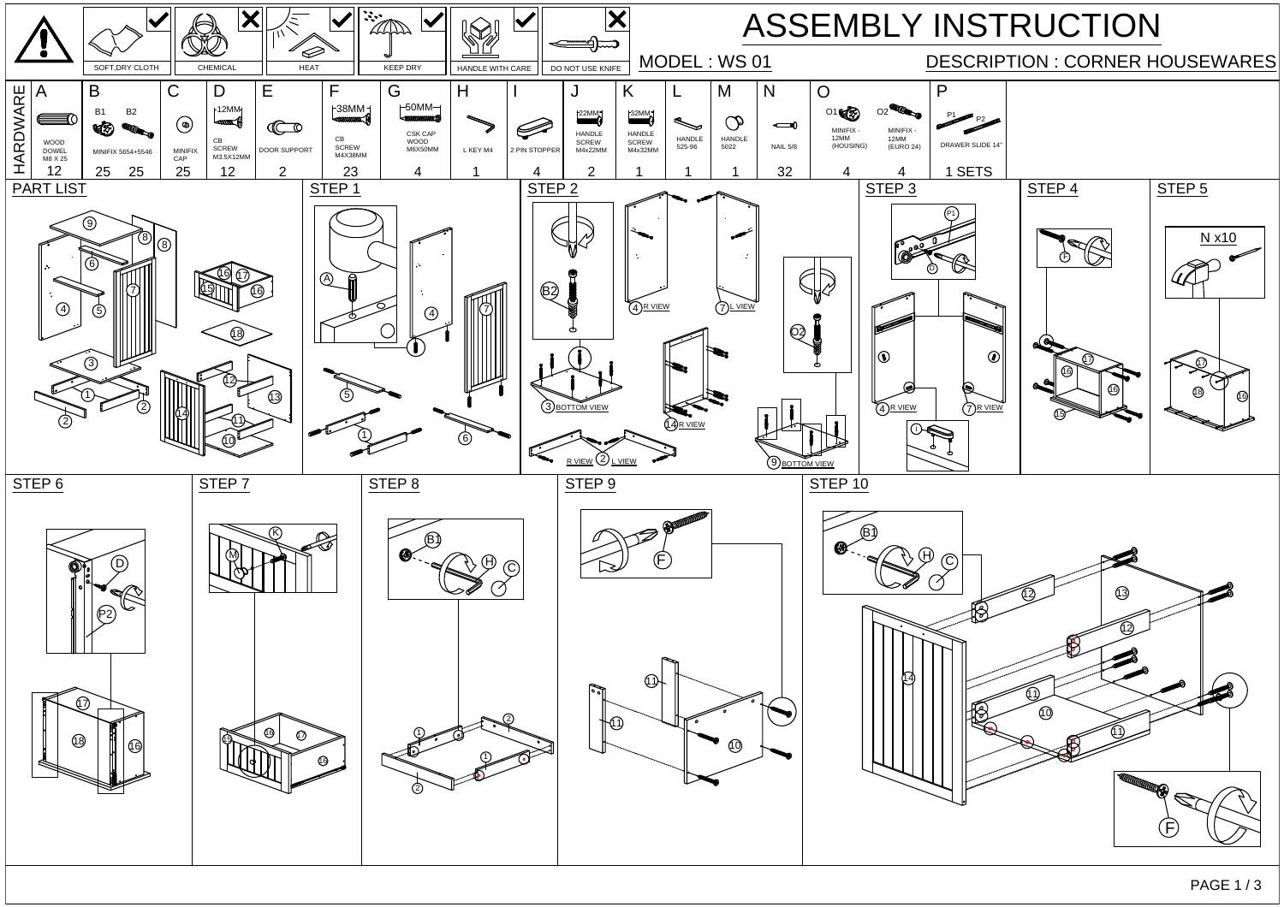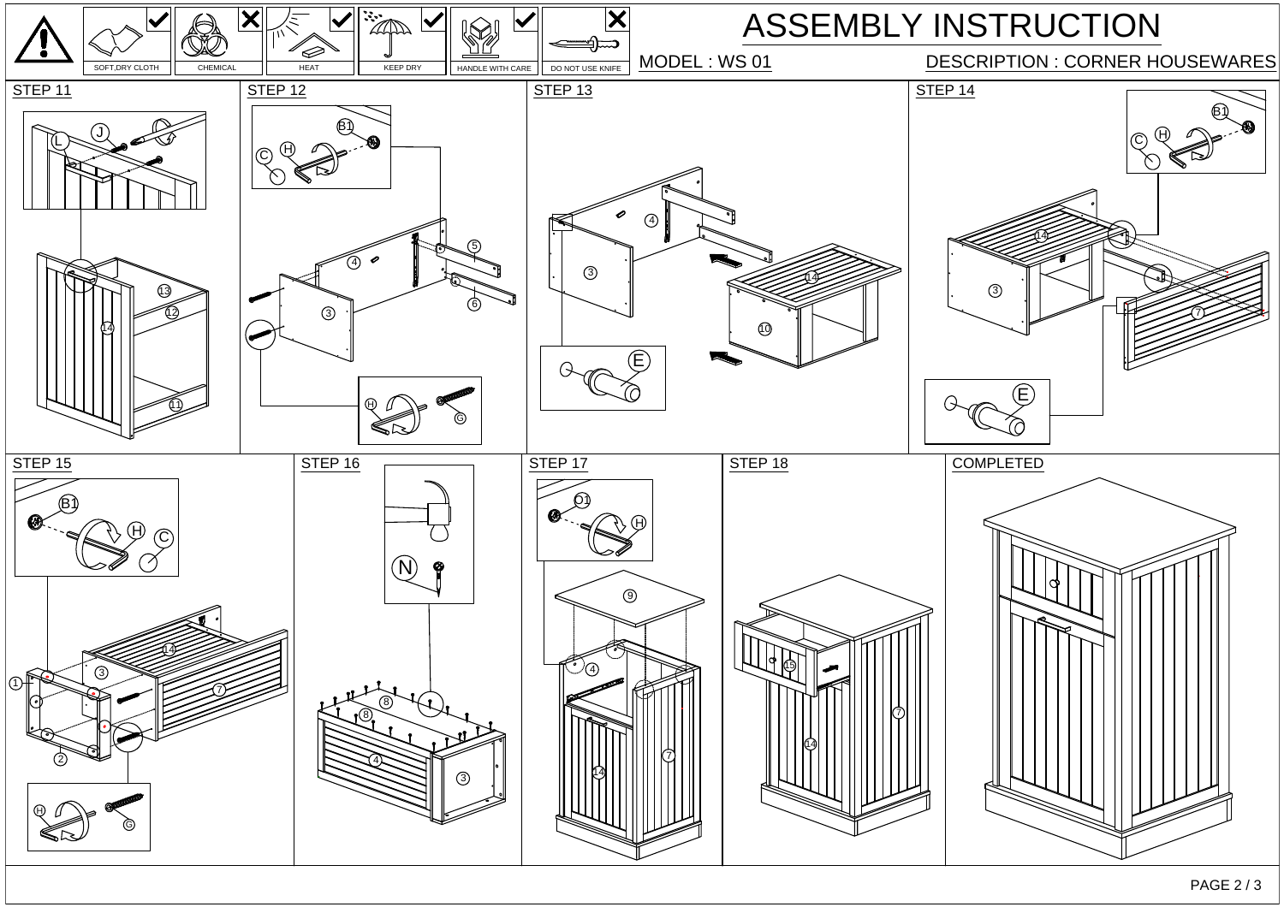